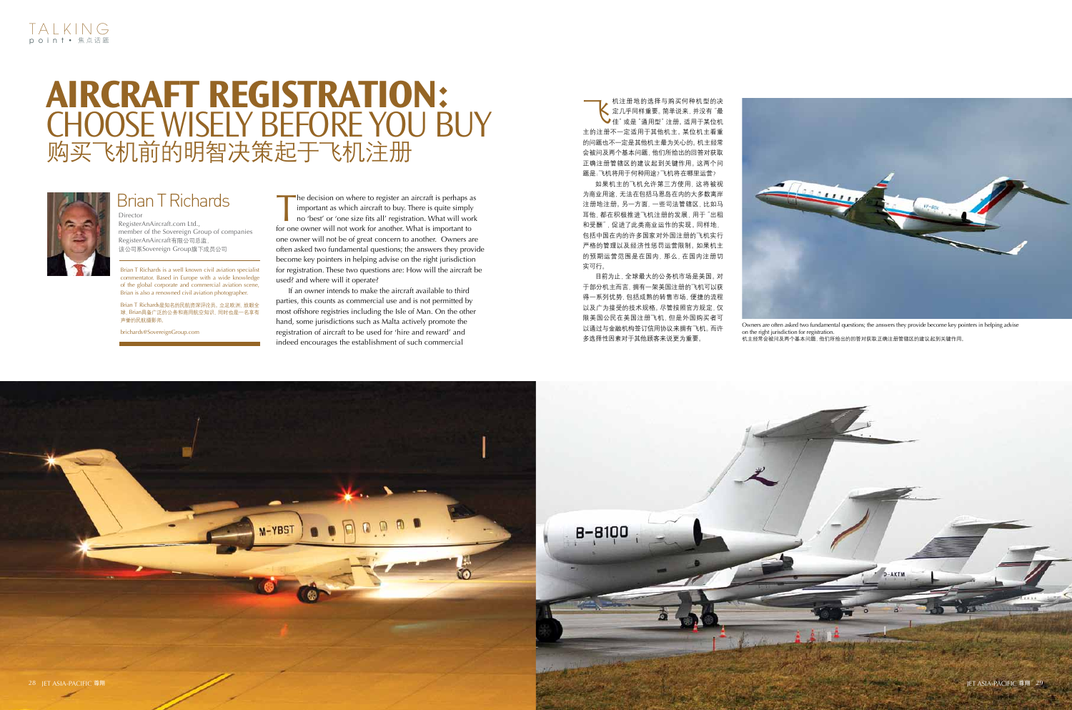



The decision on where to register an aircraft is perhaps as<br>important as which aircraft to buy. There is quite simply<br>no 'best' or 'one size fits all' registration. What will work<br>for one owner will not work for another Wh important as which aircraft to buy. There is quite simply no 'best' or 'one size fits all' registration. What will work for one owner will not work for another. What is important to one owner will not be of great concern to another. Owners are often asked two fundamental questions; the answers they provide become key pointers in helping advise on the right jurisdiction for registration. These two questions are: How will the aircraft be used? and where will it operate?

If an owner intends to make the aircraft available to third parties, this counts as commercial use and is not permitted by most offshore registries including the Isle of Man. On the other hand, some jurisdictions such as Malta actively promote the registration of aircraft to be used for 'hire and reward' and indeed encourages the establishment of such commercial

**→ 机注册地的选择与购买何种机型的决**<br>《定几乎同样重要。简单说来, 并没有 <sup>"</sup>最<br>住" 或是 "通用型" 注册。适用于某位机 定几乎同样重要。简单说来,并没有"最 佳"或是"通用型"注册。适用于某位机 主的注册不一定适用于其他机主。某位机主看重 的问题也不一定是其他机主最为关心的。机主经常 会被问及两个基本问题,他们所给出的回答对获取 正确注册管辖区的建议起到关键作用。这两个问 题是:飞机将用于何种用途?飞机将在哪里运营?

Brian T Richards is a well known civil aviation specialist commentator. Based in Europe with a wide knowledge of the global corporate and commercial aviation scene, Brian is also a renowned civil aviation photographer.

Brian T Richards是知名的民航资深评论员。立足欧洲,放眼全 球,Brian具备广泛的公务和商用航空知识,同时也是一名享有 声誉的民航摄影师。

brichards@SovereignGroup.com

Director RegisterAnAircraft.com Ltd., member of the Sovereign Group of companies RegisterAnAircraft有限公司总监, 该公司系Sovereign Group旗下成员公司

## Brian T Richards

## **Aircraft Registration:**  Choose Wisely Before You Buy 购买飞机前的明智决策起于飞机注册



如果机主的飞机允许第三方使用,这将被视 为商业用途,无法在包括马恩岛在内的大多数离岸 注册地注册。另一方面,一些司法管辖区,比如马 耳他,都在积极推进飞机注册的发展,用于"出租 和受酬",促进了此类商业运作的实现。同样地, 包括中国在内的许多国家对外国注册的飞机实行 严格的管理以及经济性惩罚运营限制。如果机主 的预期运营范围是在国内,那么,在国内注册切 实可行。

目前为止,全球最大的公务机市场是美国。对 于部分机主而言,拥有一架美国注册的飞机可以获 得一系列优势,包括成熟的转售市场、便捷的流程 以及广为接受的技术规格。尽管按照官方规定,仅 限美国公民在美国注册飞机,但是外国购买者可 以通过与金融机构签订信用协议来拥有飞机。而许 多选择性因素对于其他顾客来说更为重要。

Owners are often asked two fundamental questions; the answers they provide become key pointers in helping advise on the right jurisdiction for registration. 机主经常会被问及两个基本问题,他们所给出的回答对获取正确注册管辖区的建议起到关键作用。